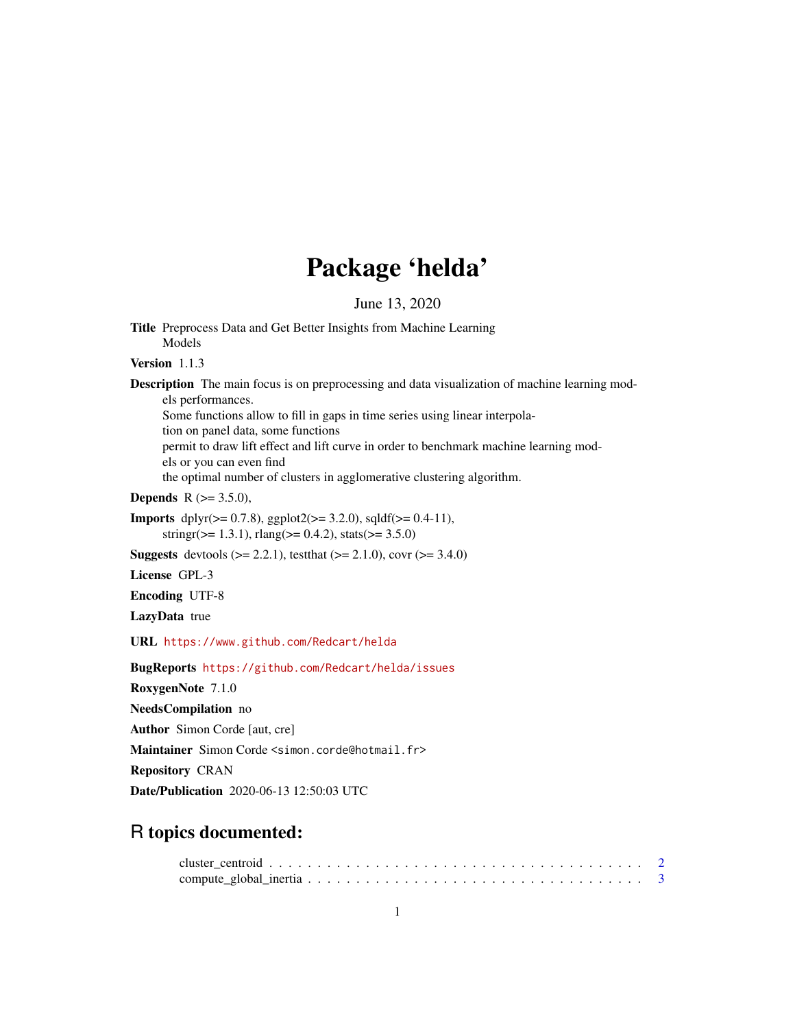# Package 'helda'

June 13, 2020

Title Preprocess Data and Get Better Insights from Machine Learning Models

Version 1.1.3

Description The main focus is on preprocessing and data visualization of machine learning models performances.

Some functions allow to fill in gaps in time series using linear interpola-

tion on panel data, some functions

permit to draw lift effect and lift curve in order to benchmark machine learning mod-

els or you can even find

the optimal number of clusters in agglomerative clustering algorithm.

**Depends** R  $(>= 3.5.0)$ ,

Imports dplyr(>= 0.7.8), ggplot2(>= 3.2.0), sqldf(>= 0.4-11), stringr( $> = 1.3.1$ ), rlang( $> = 0.4.2$ ), stats( $> = 3.5.0$ )

**Suggests** devtools ( $>= 2.2.1$ ), test that ( $>= 2.1.0$ ), covr ( $>= 3.4.0$ )

License GPL-3

Encoding UTF-8

LazyData true

URL <https://www.github.com/Redcart/helda>

BugReports <https://github.com/Redcart/helda/issues>

RoxygenNote 7.1.0

NeedsCompilation no

Author Simon Corde [aut, cre]

Maintainer Simon Corde <simon.corde@hotmail.fr>

Repository CRAN

Date/Publication 2020-06-13 12:50:03 UTC

# R topics documented: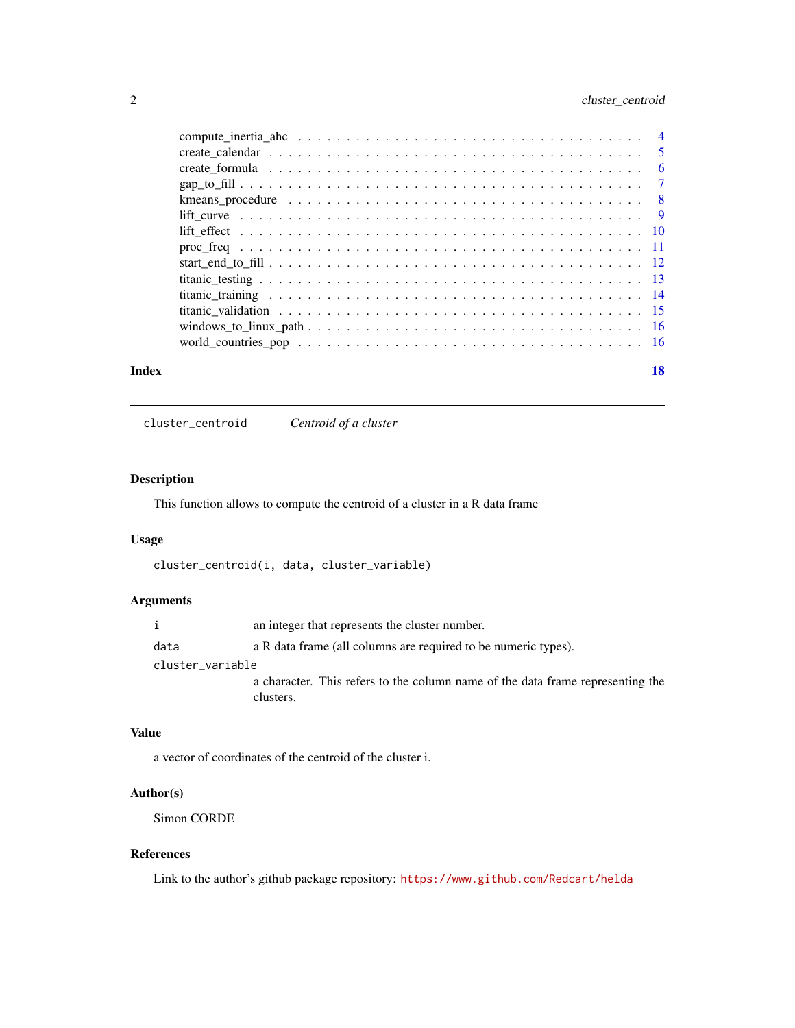#### <span id="page-1-0"></span>2 cluster\_centroid

|       | $\text{lift\_curve } \dots \dots \dots \dots \dots \dots \dots \dots \dots \dots \dots \dots \dots \dots \dots \dots$ |    |
|-------|-----------------------------------------------------------------------------------------------------------------------|----|
|       |                                                                                                                       |    |
|       |                                                                                                                       |    |
|       |                                                                                                                       |    |
|       |                                                                                                                       |    |
|       |                                                                                                                       |    |
|       |                                                                                                                       |    |
|       |                                                                                                                       |    |
|       |                                                                                                                       |    |
| Index |                                                                                                                       | 18 |

cluster\_centroid *Centroid of a cluster*

#### Description

This function allows to compute the centroid of a cluster in a R data frame

#### Usage

```
cluster_centroid(i, data, cluster_variable)
```
#### Arguments

|                  | an integer that represents the cluster number.                                              |
|------------------|---------------------------------------------------------------------------------------------|
| data             | a R data frame (all columns are required to be numeric types).                              |
| cluster_variable |                                                                                             |
|                  | a character. This refers to the column name of the data frame representing the<br>clusters. |

#### Value

a vector of coordinates of the centroid of the cluster i.

#### Author(s)

Simon CORDE

#### References

Link to the author's github package repository: <https://www.github.com/Redcart/helda>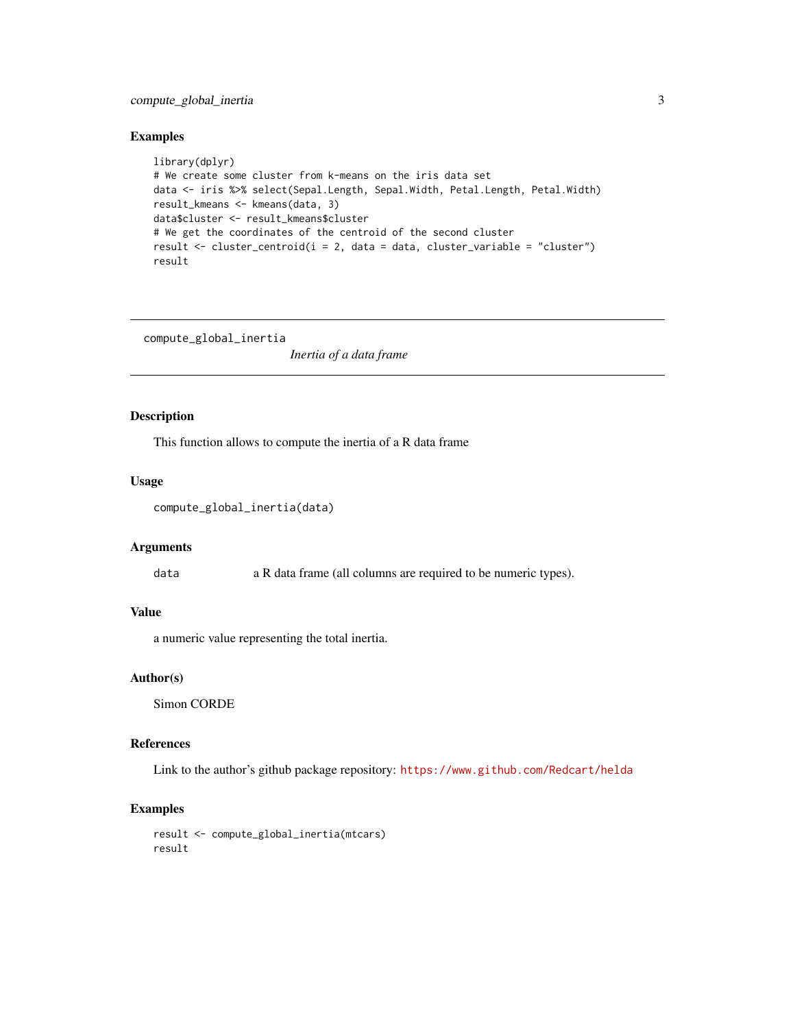#### <span id="page-2-0"></span>compute\_global\_inertia 3

#### Examples

```
library(dplyr)
# We create some cluster from k-means on the iris data set
data <- iris %>% select(Sepal.Length, Sepal.Width, Petal.Length, Petal.Width)
result_kmeans <- kmeans(data, 3)
data$cluster <- result_kmeans$cluster
# We get the coordinates of the centroid of the second cluster
result \le cluster_centroid(i = 2, data = data, cluster_variable = "cluster")
result
```
compute\_global\_inertia

*Inertia of a data frame*

#### Description

This function allows to compute the inertia of a R data frame

#### Usage

```
compute_global_inertia(data)
```
#### **Arguments**

data a R data frame (all columns are required to be numeric types).

#### Value

a numeric value representing the total inertia.

#### Author(s)

Simon CORDE

#### References

Link to the author's github package repository: <https://www.github.com/Redcart/helda>

#### Examples

```
result <- compute_global_inertia(mtcars)
result
```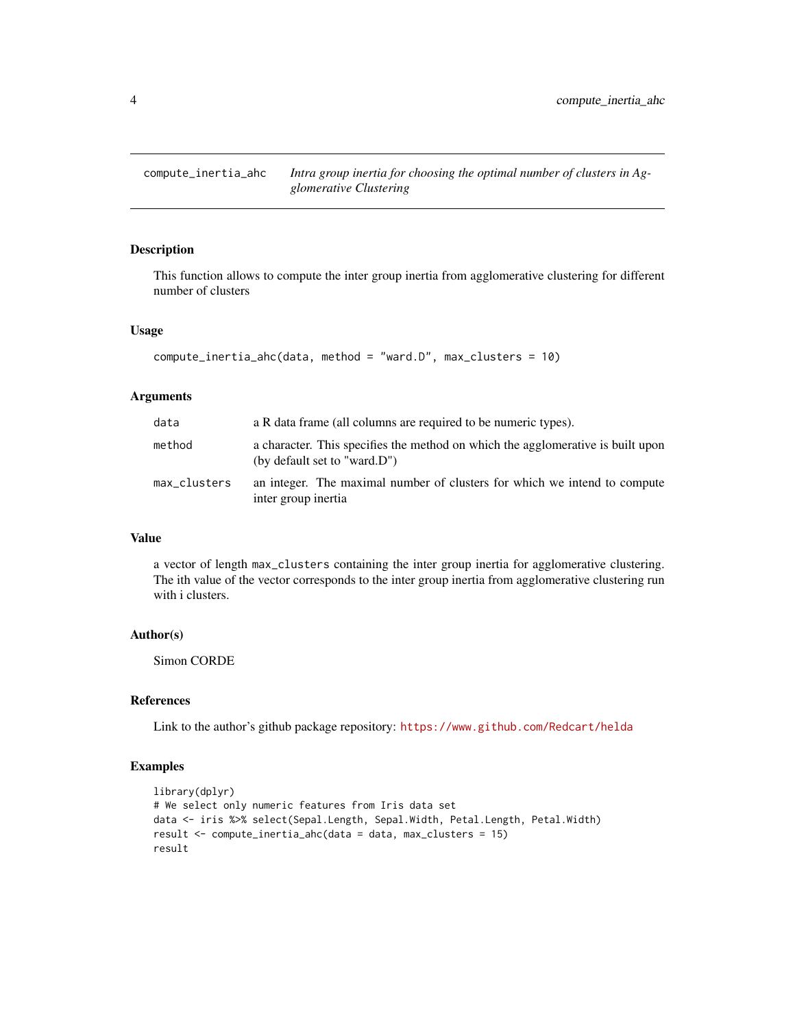```
compute_inertia_ahc Intra group inertia for choosing the optimal number of clusters in Ag-
                          glomerative Clustering
```
#### Description

This function allows to compute the inter group inertia from agglomerative clustering for different number of clusters

#### Usage

```
compute_inertia_ahc(data, method = "ward.D", max_clusters = 10)
```
#### Arguments

| data         | a R data frame (all columns are required to be numeric types).                                                  |
|--------------|-----------------------------------------------------------------------------------------------------------------|
| method       | a character. This specifies the method on which the agglomerative is built upon<br>(by default set to "ward.D") |
| max_clusters | an integer. The maximal number of clusters for which we intend to compute<br>inter group inertia                |

#### Value

a vector of length max\_clusters containing the inter group inertia for agglomerative clustering. The ith value of the vector corresponds to the inter group inertia from agglomerative clustering run with i clusters.

#### Author(s)

Simon CORDE

#### References

Link to the author's github package repository: <https://www.github.com/Redcart/helda>

#### Examples

```
library(dplyr)
# We select only numeric features from Iris data set
data <- iris %>% select(Sepal.Length, Sepal.Width, Petal.Length, Petal.Width)
result <- compute_inertia_ahc(data = data, max_clusters = 15)
result
```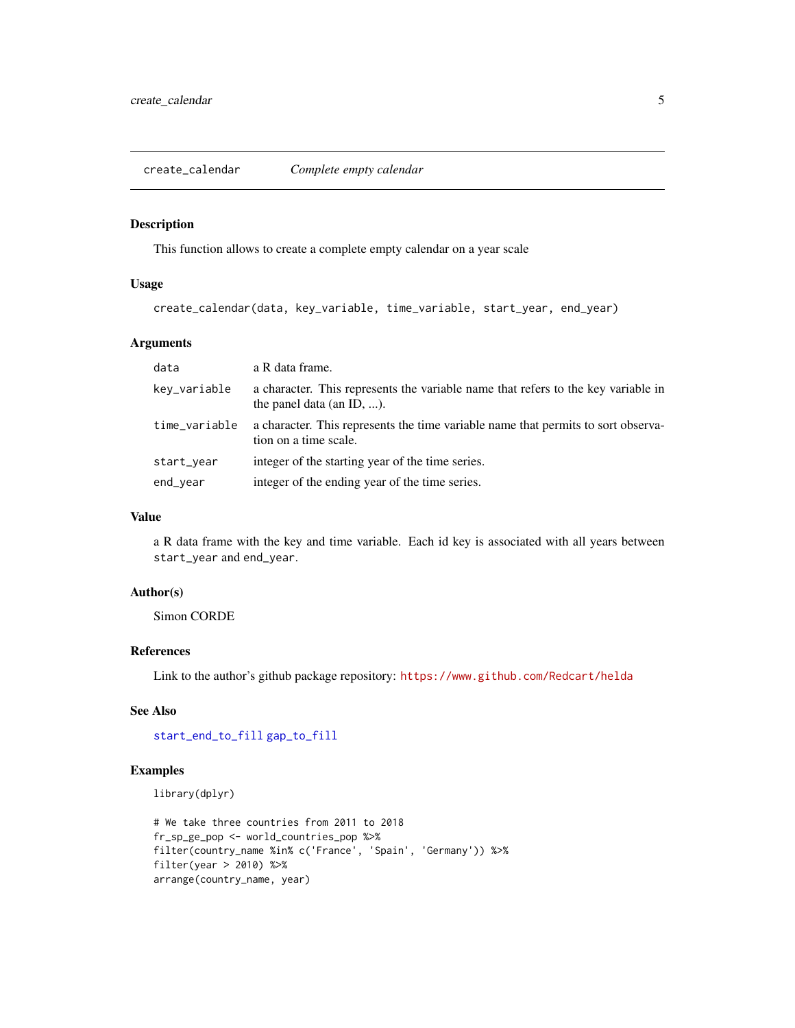<span id="page-4-1"></span><span id="page-4-0"></span>create\_calendar *Complete empty calendar*

#### Description

This function allows to create a complete empty calendar on a year scale

#### Usage

```
create_calendar(data, key_variable, time_variable, start_year, end_year)
```
#### Arguments

| data          | a R data frame.                                                                                                |
|---------------|----------------------------------------------------------------------------------------------------------------|
| key_variable  | a character. This represents the variable name that refers to the key variable in<br>the panel data (an ID, ). |
| time_variable | a character. This represents the time variable name that permits to sort observa-<br>tion on a time scale.     |
| start_year    | integer of the starting year of the time series.                                                               |
| end_year      | integer of the ending year of the time series.                                                                 |

#### Value

a R data frame with the key and time variable. Each id key is associated with all years between start\_year and end\_year.

#### Author(s)

Simon CORDE

#### References

Link to the author's github package repository: <https://www.github.com/Redcart/helda>

#### See Also

[start\\_end\\_to\\_fill](#page-11-1) [gap\\_to\\_fill](#page-6-1)

#### Examples

library(dplyr)

```
# We take three countries from 2011 to 2018
fr_sp_ge_pop <- world_countries_pop %>%
filter(country_name %in% c('France', 'Spain', 'Germany')) %>%
filter(year > 2010) %>%
arrange(country_name, year)
```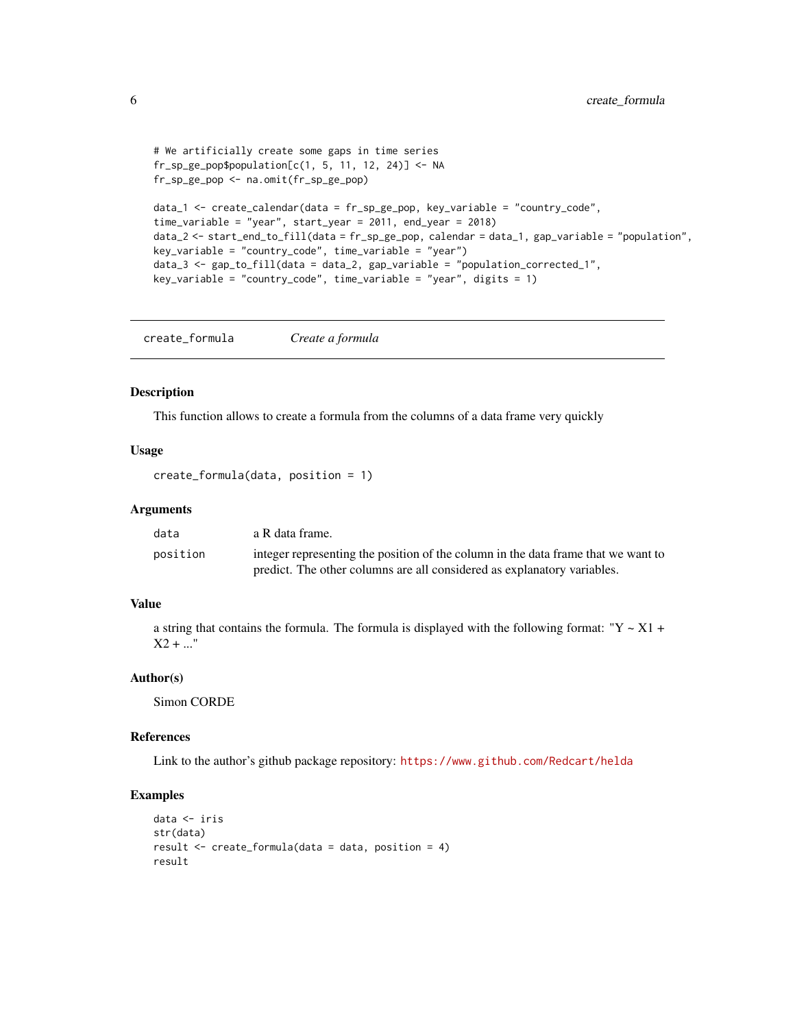```
# We artificially create some gaps in time series
fr_sp\_ge\_pop\population[c(1, 5, 11, 12, 24)] \leftarrow NAfr_sp_ge_pop <- na.omit(fr_sp_ge_pop)
data_1 <- create_calendar(data = fr_sp_ge_pop, key_variable = "country_code",
time_variable = "year", start_year = 2011, end_year = 2018)
data_2 <- start_end_to_fill(data = fr_sp_ge_pop, calendar = data_1, gap_variable = "population",
key_variable = "country_code", time_variable = "year")
data_3 \leftarrow gap_to_fill(data = data_2, gap_variable = "population_corrected_1",key_variable = "country_code", time_variable = "year", digits = 1)
```
create\_formula *Create a formula*

#### Description

This function allows to create a formula from the columns of a data frame very quickly

#### Usage

create\_formula(data, position = 1)

#### Arguments

| data     | a R data frame.                                                                   |
|----------|-----------------------------------------------------------------------------------|
| position | integer representing the position of the column in the data frame that we want to |
|          | predict. The other columns are all considered as explanatory variables.           |

#### Value

a string that contains the formula. The formula is displayed with the following format: "Y  $\sim$  X1 +  $X2 + ...$ "

#### Author(s)

Simon CORDE

#### References

Link to the author's github package repository: <https://www.github.com/Redcart/helda>

#### Examples

```
data <- iris
str(data)
result <- create_formula(data = data, position = 4)
result
```
<span id="page-5-0"></span>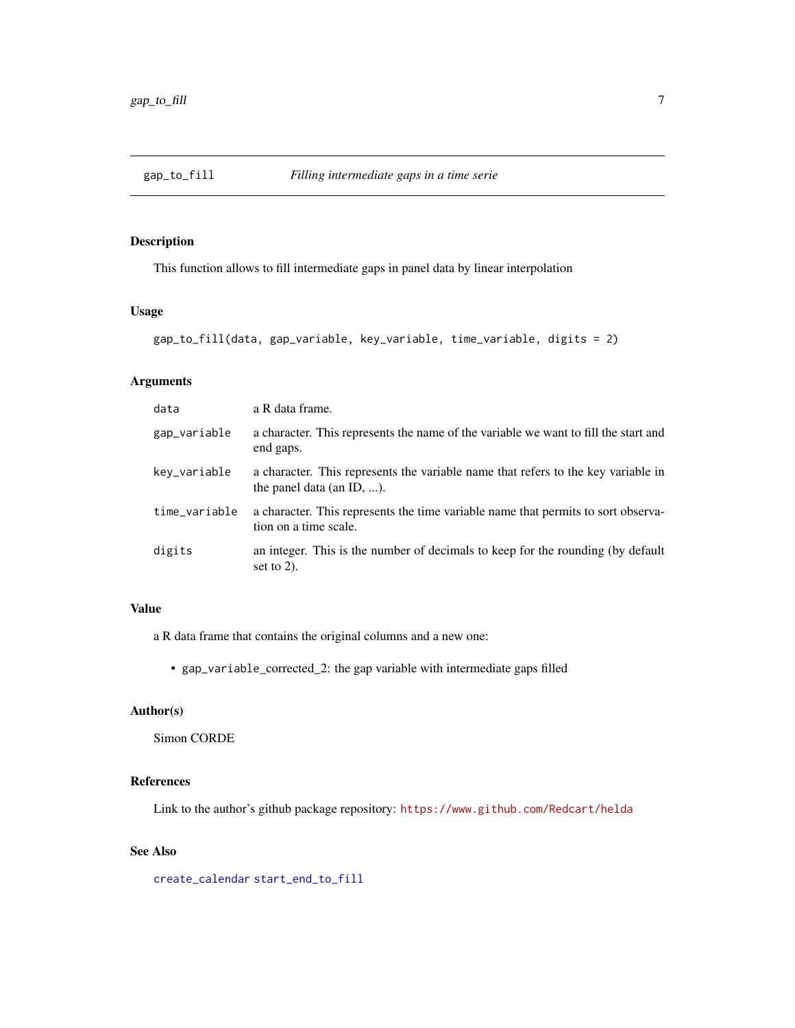<span id="page-6-1"></span><span id="page-6-0"></span>

#### Description

This function allows to fill intermediate gaps in panel data by linear interpolation

#### Usage

```
gap_to_fill(data, gap_variable, key_variable, time_variable, digits = 2)
```
#### Arguments

| data          | a R data frame.                                                                                                |
|---------------|----------------------------------------------------------------------------------------------------------------|
| gap_variable  | a character. This represents the name of the variable we want to fill the start and<br>end gaps.               |
| key_variable  | a character. This represents the variable name that refers to the key variable in<br>the panel data (an ID, ). |
| time_variable | a character. This represents the time variable name that permits to sort observa-<br>tion on a time scale.     |
| digits        | an integer. This is the number of decimals to keep for the rounding (by default<br>set to $2$ ).               |

### Value

a R data frame that contains the original columns and a new one:

• gap\_variable\_corrected\_2: the gap variable with intermediate gaps filled

#### Author(s)

Simon CORDE

#### References

Link to the author's github package repository: <https://www.github.com/Redcart/helda>

#### See Also

[create\\_calendar](#page-4-1) [start\\_end\\_to\\_fill](#page-11-1)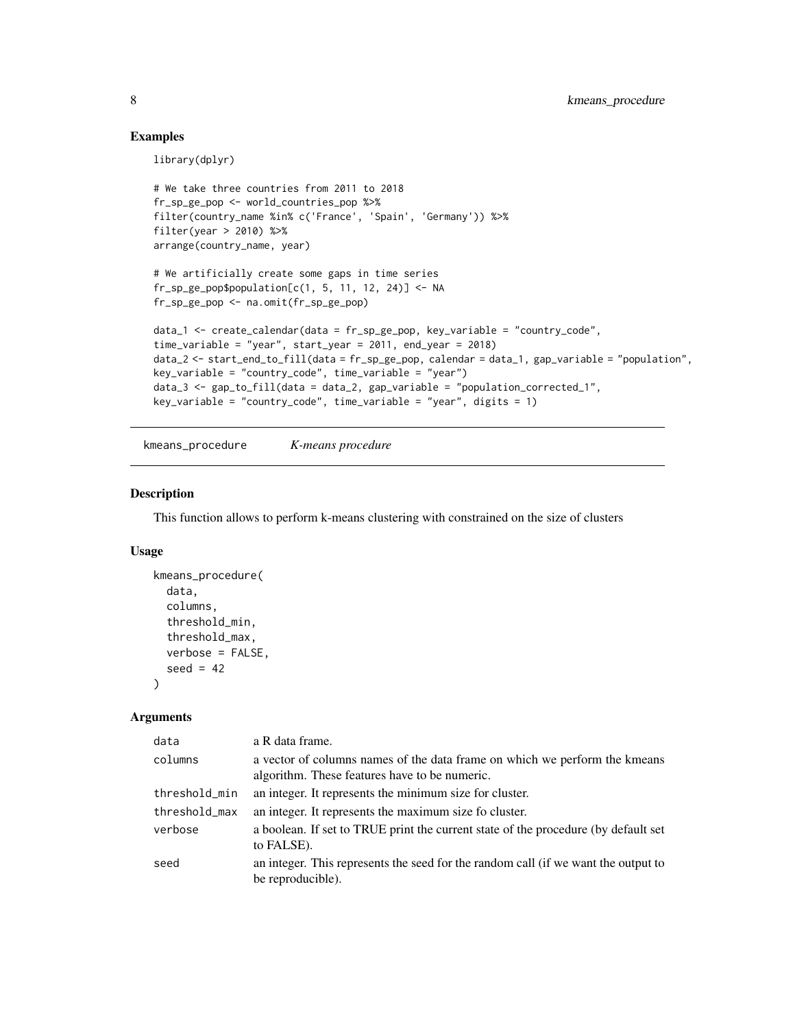#### Examples

library(dplyr)

```
# We take three countries from 2011 to 2018
fr_sp_ge_pop <- world_countries_pop %>%
filter(country_name %in% c('France', 'Spain', 'Germany')) %>%
filter(year > 2010) %>%
arrange(country_name, year)
```

```
# We artificially create some gaps in time series
fr_sp\_ge\_pop\population[c(1, 5, 11, 12, 24)] \leftarrow NAfr_sp_ge_pop <- na.omit(fr_sp_ge_pop)
```

```
data_1 <- create_calendar(data = fr_sp_ge_pop, key_variable = "country_code",
time_variable = "year", start_year = 2011, end_year = 2018)
data_2 <- start_end_to_fill(data = fr_sp_ge_pop, calendar = data_1, gap_variable = "population",
key\_variable = "country\_code", time\_variable = "year")data_3 <- gap_to_fill(data = data_2, gap_variable = "population_corrected_1",
key\_variable = "country\_code", time\_variable = "year", digits = 1)
```
kmeans\_procedure *K-means procedure*

#### Description

This function allows to perform k-means clustering with constrained on the size of clusters

#### Usage

```
kmeans_procedure(
  data,
  columns,
  threshold_min,
  threshold_max,
  verbose = FALSE,
  seed = 42\lambda
```
#### Arguments

| data          | a R data frame.                                                                                                             |
|---------------|-----------------------------------------------------------------------------------------------------------------------------|
| columns       | a vector of columns names of the data frame on which we perform the kmeans<br>algorithm. These features have to be numeric. |
| threshold_min | an integer. It represents the minimum size for cluster.                                                                     |
| threshold_max | an integer. It represents the maximum size fo cluster.                                                                      |
| verbose       | a boolean. If set to TRUE print the current state of the procedure (by default set<br>to FALSE).                            |
| seed          | an integer. This represents the seed for the random call (if we want the output to<br>be reproducible).                     |

<span id="page-7-0"></span>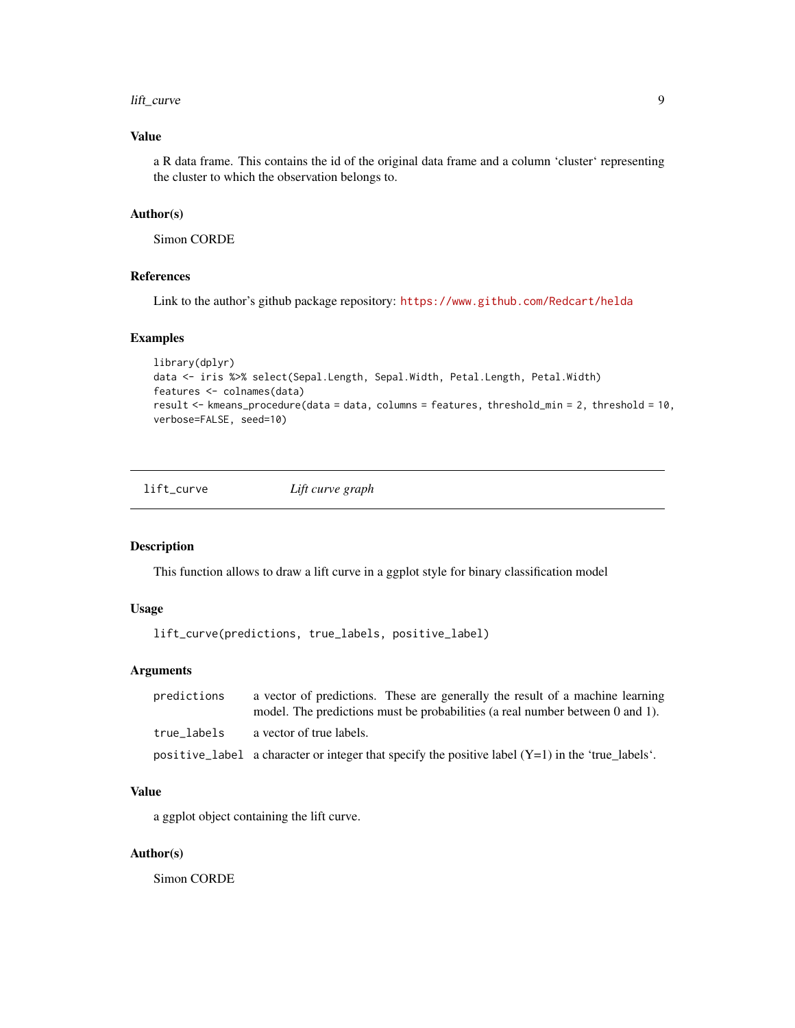#### <span id="page-8-0"></span>lift\_curve 9

#### Value

a R data frame. This contains the id of the original data frame and a column 'cluster' representing the cluster to which the observation belongs to.

#### Author(s)

Simon CORDE

#### References

Link to the author's github package repository: <https://www.github.com/Redcart/helda>

#### Examples

```
library(dplyr)
data <- iris %>% select(Sepal.Length, Sepal.Width, Petal.Length, Petal.Width)
features <- colnames(data)
result <- kmeans_procedure(data = data, columns = features, threshold_min = 2, threshold = 10,
verbose=FALSE, seed=10)
```
lift\_curve *Lift curve graph*

#### Description

This function allows to draw a lift curve in a ggplot style for binary classification model

#### Usage

lift\_curve(predictions, true\_labels, positive\_label)

#### Arguments

| predictions | a vector of predictions. These are generally the result of a machine learning<br>model. The predictions must be probabilities (a real number between 0 and 1). |
|-------------|----------------------------------------------------------------------------------------------------------------------------------------------------------------|
| true labels | a vector of true labels.                                                                                                                                       |
|             | positive_label a character or integer that specify the positive label $(Y=1)$ in the 'true_labels'.                                                            |

#### Value

a ggplot object containing the lift curve.

#### Author(s)

Simon CORDE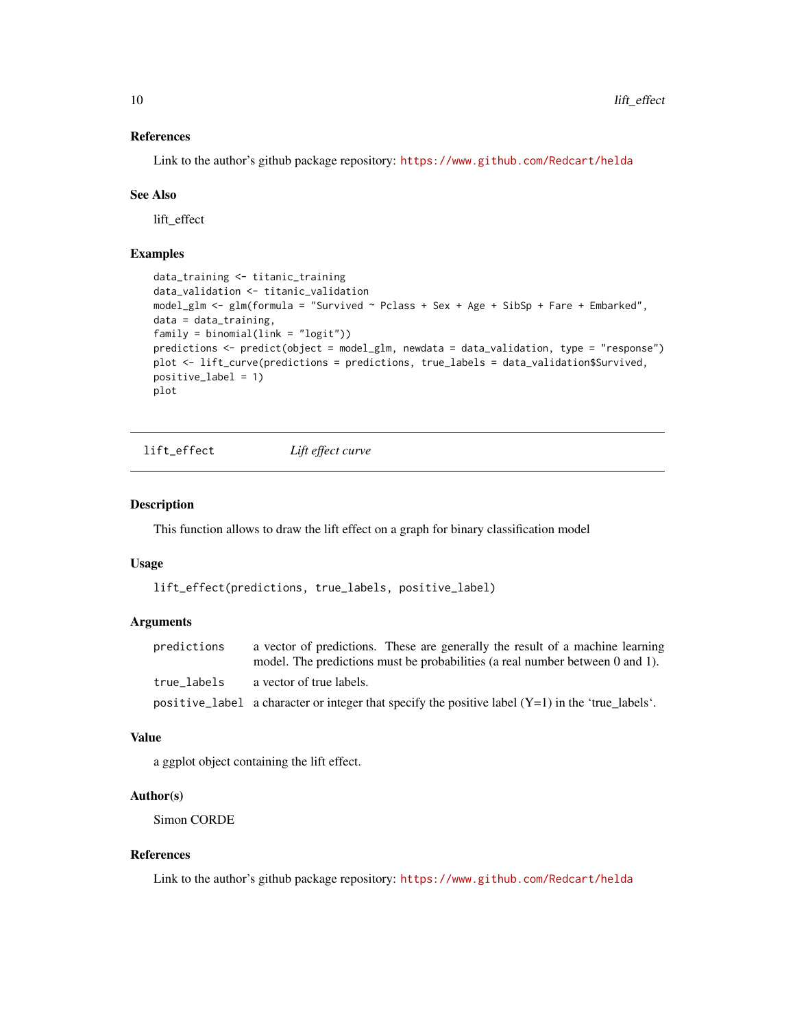#### References

Link to the author's github package repository: <https://www.github.com/Redcart/helda>

#### See Also

lift\_effect

#### Examples

```
data_training <- titanic_training
data_validation <- titanic_validation
model_glm <- glm(formula = "Survived ~ Pclass + Sex + Age + SibSp + Fare + Embarked",
data = data_training,
family = binomial(link = "logit"))
predictions <- predict(object = model_glm, newdata = data_validation, type = "response")
plot <- lift_curve(predictions = predictions, true_labels = data_validation$Survived,
positive_label = 1)
plot
```
lift\_effect *Lift effect curve*

#### Description

This function allows to draw the lift effect on a graph for binary classification model

#### Usage

```
lift_effect(predictions, true_labels, positive_label)
```
#### Arguments

| predictions | a vector of predictions. These are generally the result of a machine learning                       |
|-------------|-----------------------------------------------------------------------------------------------------|
|             | model. The predictions must be probabilities (a real number between 0 and 1).                       |
| true labels | a vector of true labels.                                                                            |
|             | positive_label a character or integer that specify the positive label $(Y=1)$ in the 'true labels'. |

#### Value

a ggplot object containing the lift effect.

#### Author(s)

Simon CORDE

#### References

Link to the author's github package repository: <https://www.github.com/Redcart/helda>

<span id="page-9-0"></span>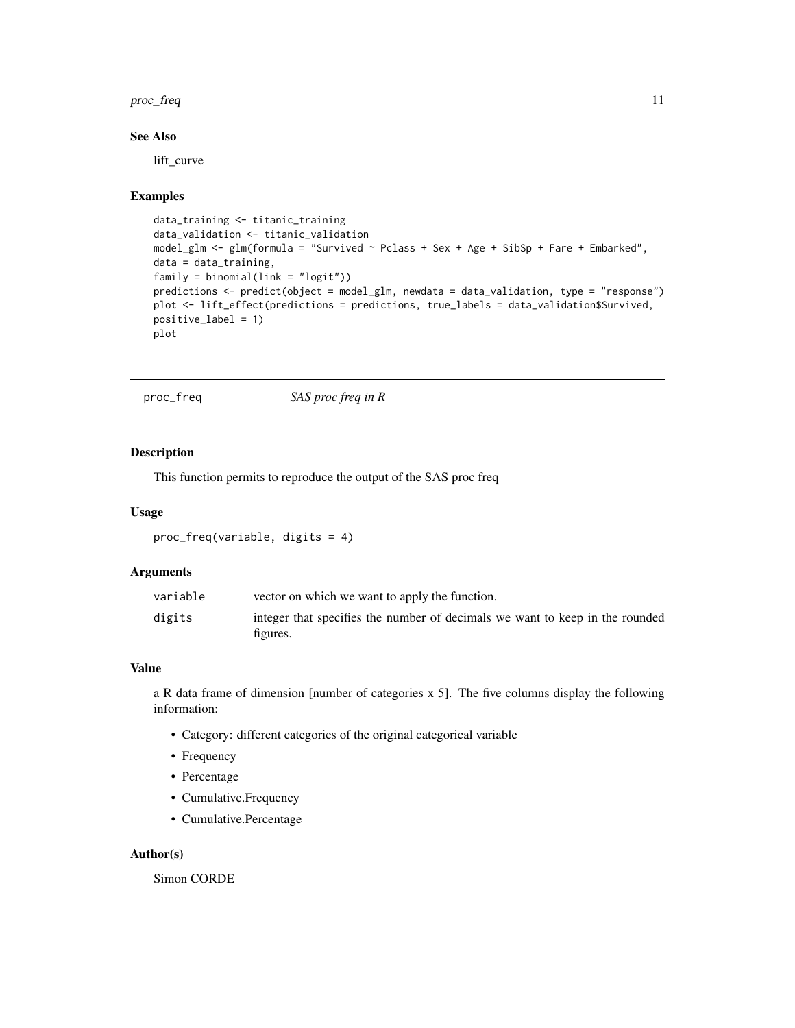#### <span id="page-10-0"></span>proc\_freq 11

#### See Also

lift\_curve

#### Examples

```
data_training <- titanic_training
data_validation <- titanic_validation
model_glm <- glm(formula = "Survived ~ Pclass + Sex + Age + SibSp + Fare + Embarked",
data = data_training,
family = binomial(link = "logit"))
predictions <- predict(object = model_glm, newdata = data_validation, type = "response")
plot <- lift_effect(predictions = predictions, true_labels = data_validation$Survived,
positive_label = 1)
plot
```
proc\_freq *SAS proc freq in R*

#### Description

This function permits to reproduce the output of the SAS proc freq

#### Usage

```
proc_freq(variable, digits = 4)
```
#### Arguments

| variable | vector on which we want to apply the function.                                           |
|----------|------------------------------------------------------------------------------------------|
| digits   | integer that specifies the number of decimals we want to keep in the rounded<br>figures. |

#### Value

a R data frame of dimension [number of categories x 5]. The five columns display the following information:

- Category: different categories of the original categorical variable
- Frequency
- Percentage
- Cumulative.Frequency
- Cumulative.Percentage

#### Author(s)

Simon CORDE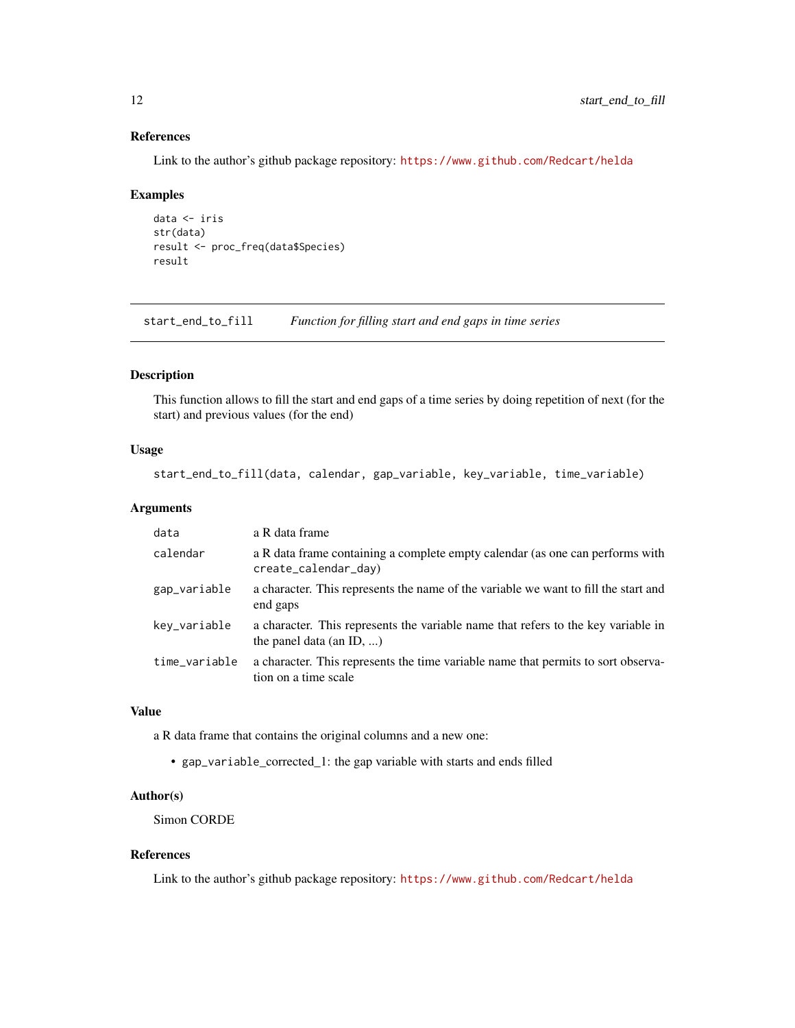#### References

Link to the author's github package repository: <https://www.github.com/Redcart/helda>

#### Examples

```
data <- iris
str(data)
result <- proc_freq(data$Species)
result
```
<span id="page-11-1"></span>start\_end\_to\_fill *Function for filling start and end gaps in time series*

#### Description

This function allows to fill the start and end gaps of a time series by doing repetition of next (for the start) and previous values (for the end)

#### Usage

start\_end\_to\_fill(data, calendar, gap\_variable, key\_variable, time\_variable)

#### Arguments

| a R data frame                                                                                                |
|---------------------------------------------------------------------------------------------------------------|
| a R data frame containing a complete empty calendar (as one can performs with<br>create_calendar_day)         |
| a character. This represents the name of the variable we want to fill the start and<br>end gaps               |
| a character. This represents the variable name that refers to the key variable in<br>the panel data (an ID, ) |
| a character. This represents the time variable name that permits to sort observa-<br>tion on a time scale     |
|                                                                                                               |

#### Value

a R data frame that contains the original columns and a new one:

• gap\_variable\_corrected\_1: the gap variable with starts and ends filled

#### Author(s)

Simon CORDE

#### References

Link to the author's github package repository: <https://www.github.com/Redcart/helda>

<span id="page-11-0"></span>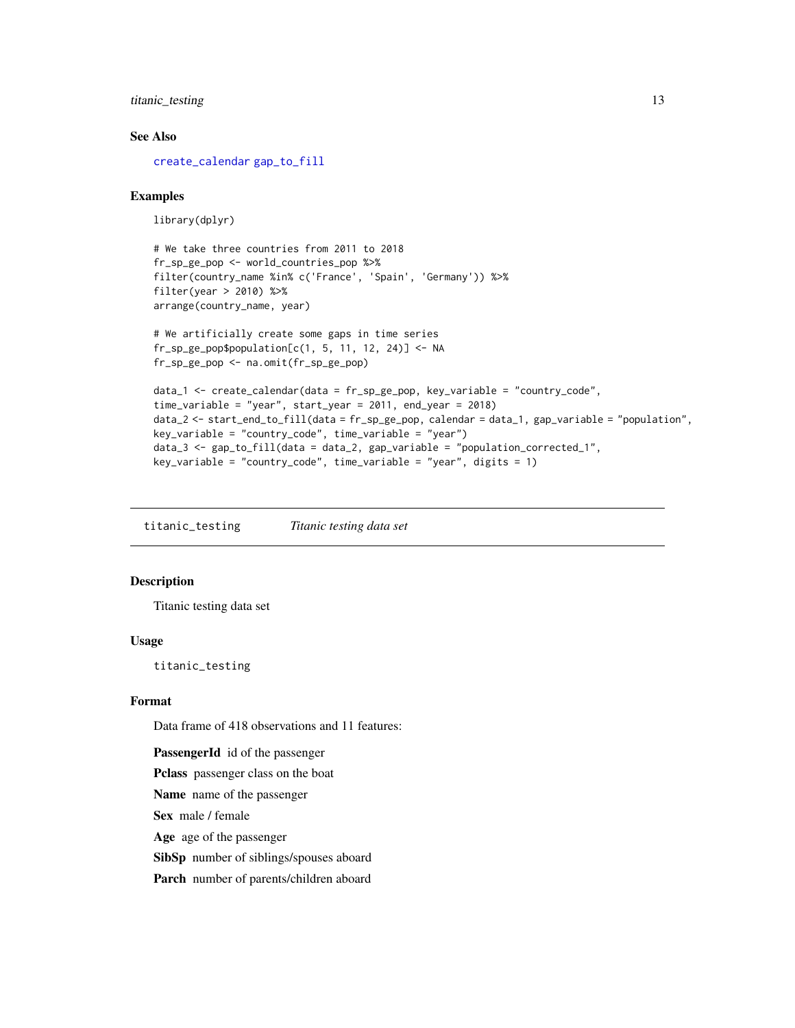#### <span id="page-12-0"></span>titanic\_testing 13

#### See Also

[create\\_calendar](#page-4-1) [gap\\_to\\_fill](#page-6-1)

#### Examples

library(dplyr)

# We take three countries from 2011 to 2018 fr\_sp\_ge\_pop <- world\_countries\_pop %>% filter(country\_name %in% c('France', 'Spain', 'Germany')) %>% filter(year > 2010) %>% arrange(country\_name, year)

```
# We artificially create some gaps in time series
fr_sp\_ge\_pop\population[c(1, 5, 11, 12, 24)] \leftarrow NAfr_sp_ge_pop <- na.omit(fr_sp_ge_pop)
```

```
data_1 <- create_calendar(data = fr_sp_ge_pop, key_variable = "country_code",
time_variable = "year", start_year = 2011, end_year = 2018)
data_2 <- start_end_to_fill(data = fr_sp_ge_pop, calendar = data_1, gap_variable = "population",
key_variable = "country_code", time_variable = "year")
data_3 <- gap_to_fill(data = data_2, gap_variable = "population_corrected_1",
key\_variable = "country\_code", time\_variable = "year", digits = 1)
```
titanic\_testing *Titanic testing data set*

#### Description

Titanic testing data set

#### Usage

titanic\_testing

#### Format

Data frame of 418 observations and 11 features:

PassengerId id of the passenger

Pclass passenger class on the boat

Name name of the passenger

Sex male / female

Age age of the passenger

SibSp number of siblings/spouses aboard

Parch number of parents/children aboard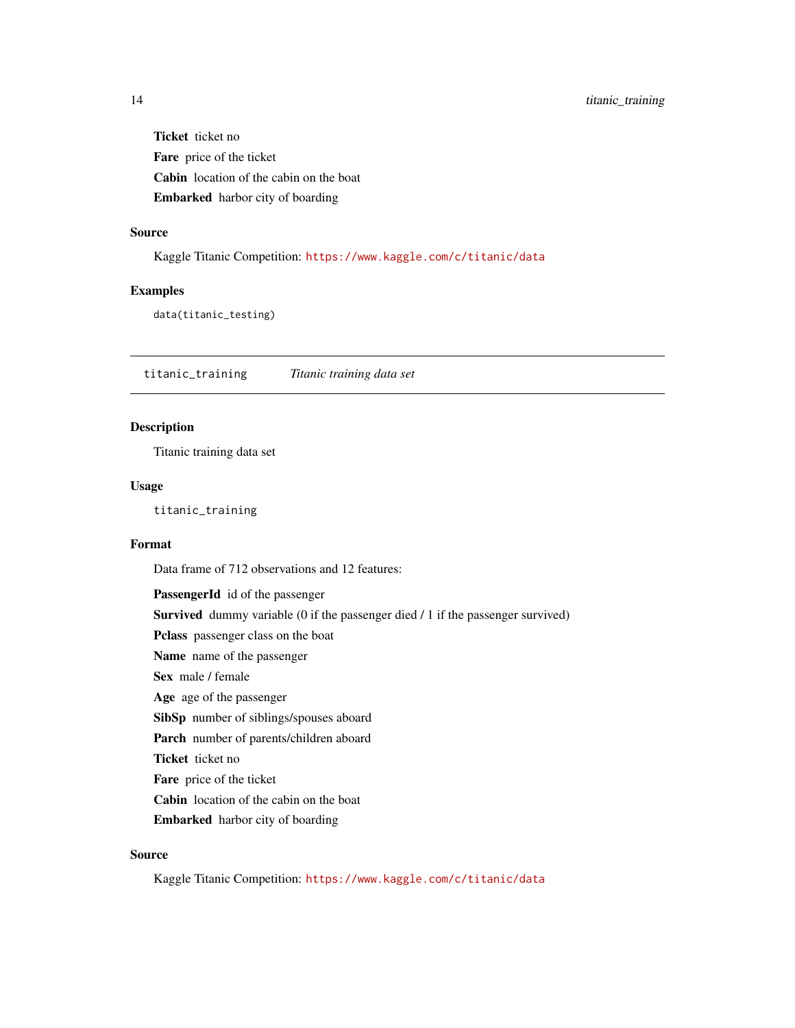<span id="page-13-0"></span>Ticket ticket no Fare price of the ticket Cabin location of the cabin on the boat Embarked harbor city of boarding

#### Source

Kaggle Titanic Competition: <https://www.kaggle.com/c/titanic/data>

#### Examples

data(titanic\_testing)

titanic\_training *Titanic training data set*

#### Description

Titanic training data set

#### Usage

titanic\_training

#### Format

Data frame of 712 observations and 12 features:

PassengerId id of the passenger Survived dummy variable (0 if the passenger died / 1 if the passenger survived) Pclass passenger class on the boat Name name of the passenger Sex male / female Age age of the passenger SibSp number of siblings/spouses aboard Parch number of parents/children aboard Ticket ticket no Fare price of the ticket Cabin location of the cabin on the boat Embarked harbor city of boarding

#### Source

Kaggle Titanic Competition: <https://www.kaggle.com/c/titanic/data>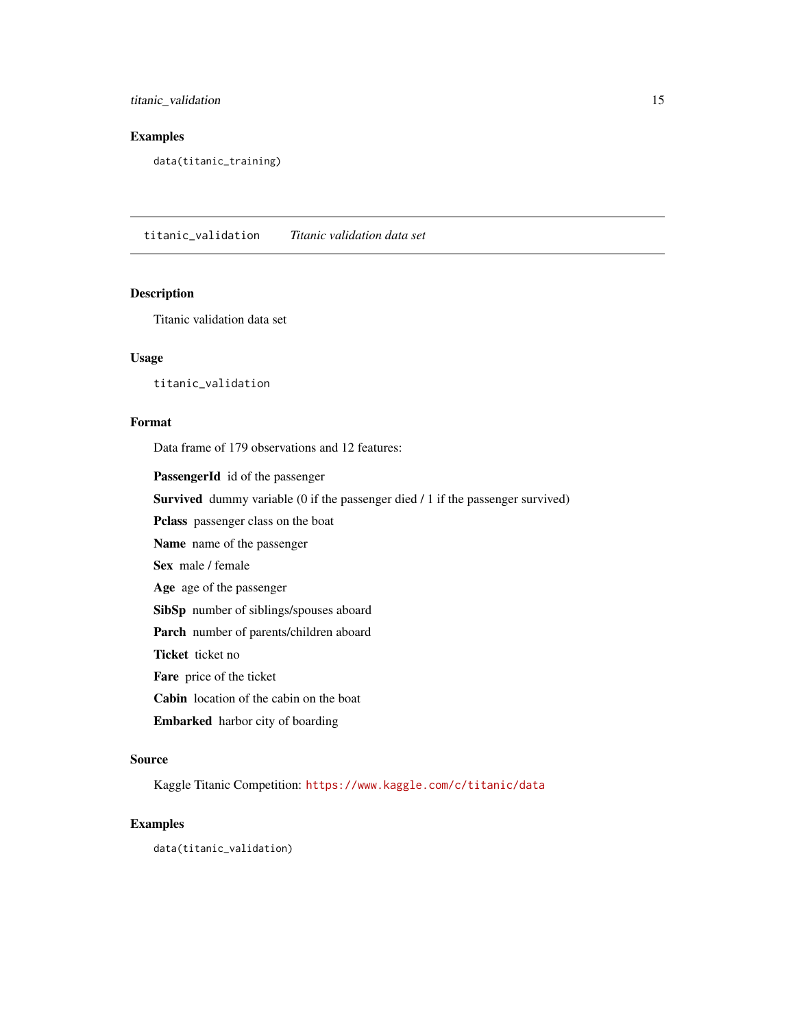<span id="page-14-0"></span>titanic\_validation 15

#### Examples

data(titanic\_training)

titanic\_validation *Titanic validation data set*

#### Description

Titanic validation data set

#### Usage

titanic\_validation

#### Format

Data frame of 179 observations and 12 features:

PassengerId id of the passenger

Survived dummy variable (0 if the passenger died / 1 if the passenger survived)

Pclass passenger class on the boat

Name name of the passenger

Sex male / female

Age age of the passenger

SibSp number of siblings/spouses aboard

Parch number of parents/children aboard

Ticket ticket no

Fare price of the ticket

Cabin location of the cabin on the boat

Embarked harbor city of boarding

#### Source

Kaggle Titanic Competition: <https://www.kaggle.com/c/titanic/data>

#### Examples

data(titanic\_validation)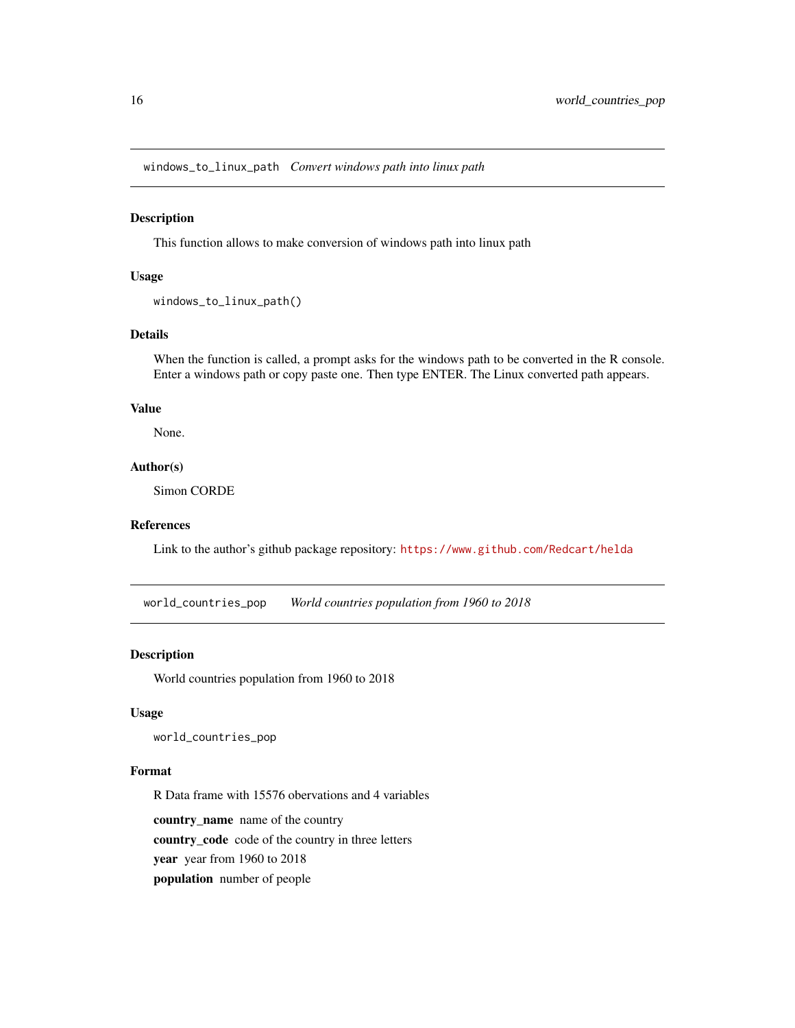<span id="page-15-0"></span>windows\_to\_linux\_path *Convert windows path into linux path*

#### Description

This function allows to make conversion of windows path into linux path

#### Usage

windows\_to\_linux\_path()

#### Details

When the function is called, a prompt asks for the windows path to be converted in the R console. Enter a windows path or copy paste one. Then type ENTER. The Linux converted path appears.

#### Value

None.

#### Author(s)

Simon CORDE

#### References

Link to the author's github package repository: <https://www.github.com/Redcart/helda>

world\_countries\_pop *World countries population from 1960 to 2018*

#### Description

World countries population from 1960 to 2018

#### Usage

world\_countries\_pop

#### Format

R Data frame with 15576 obervations and 4 variables

country\_name name of the country country\_code code of the country in three letters year year from 1960 to 2018 population number of people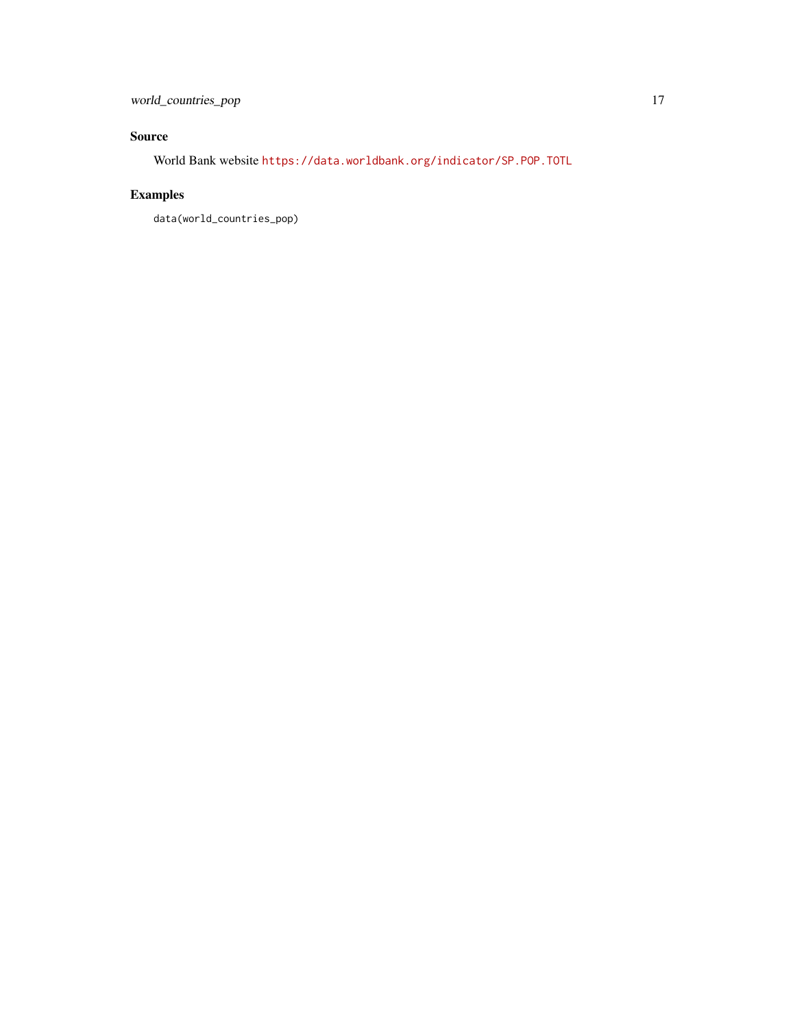### Source

World Bank website <https://data.worldbank.org/indicator/SP.POP.TOTL>

## Examples

data(world\_countries\_pop)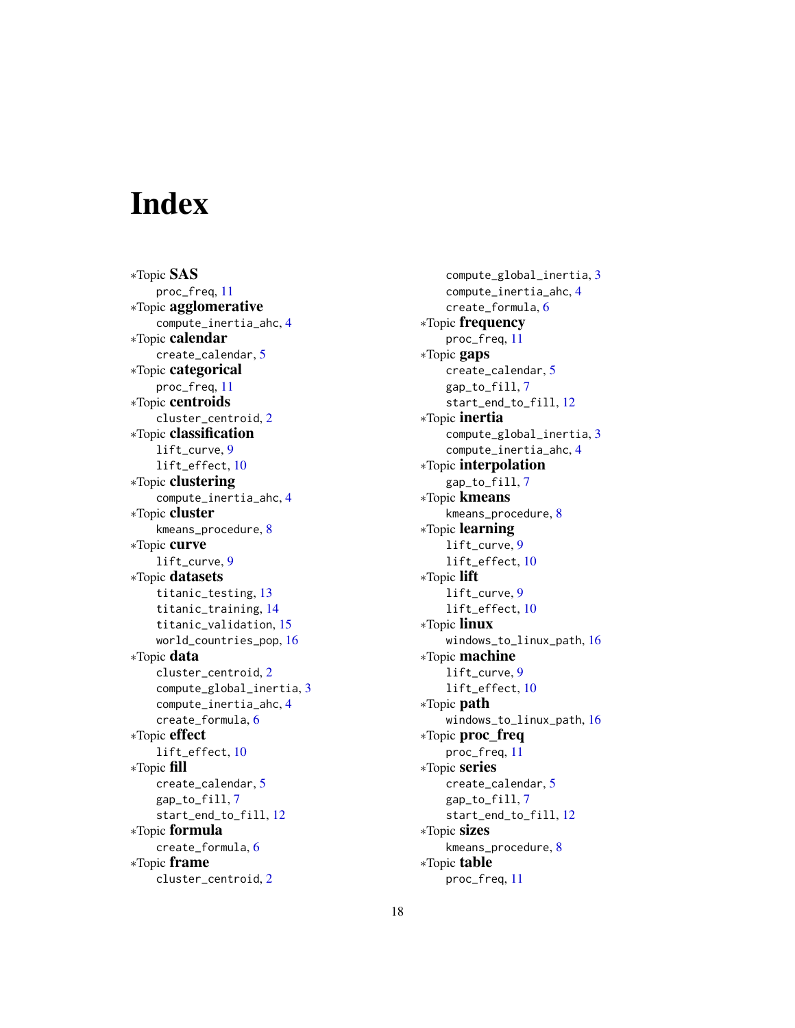# <span id="page-17-0"></span>**Index**

∗Topic SAS proc\_freq, [11](#page-10-0) ∗Topic agglomerative compute\_inertia\_ahc, [4](#page-3-0) ∗Topic calendar create\_calendar, [5](#page-4-0) ∗Topic categorical proc\_freq, [11](#page-10-0) ∗Topic centroids cluster\_centroid, [2](#page-1-0) ∗Topic classification lift\_curve, [9](#page-8-0) lift\_effect, [10](#page-9-0) ∗Topic clustering compute\_inertia\_ahc, [4](#page-3-0) ∗Topic cluster kmeans\_procedure, [8](#page-7-0) ∗Topic curve lift\_curve, [9](#page-8-0) ∗Topic datasets titanic\_testing, [13](#page-12-0) titanic\_training, [14](#page-13-0) titanic\_validation, [15](#page-14-0) world\_countries\_pop, [16](#page-15-0) ∗Topic data cluster\_centroid, [2](#page-1-0) compute\_global\_inertia, [3](#page-2-0) compute\_inertia\_ahc, [4](#page-3-0) create\_formula, [6](#page-5-0) ∗Topic effect lift\_effect, [10](#page-9-0) ∗Topic fill create\_calendar, [5](#page-4-0) gap\_to\_fill, [7](#page-6-0) start\_end\_to\_fill, [12](#page-11-0) ∗Topic formula create\_formula, [6](#page-5-0) ∗Topic frame cluster\_centroid, [2](#page-1-0)

compute\_global\_inertia, [3](#page-2-0) compute\_inertia\_ahc, [4](#page-3-0) create\_formula, [6](#page-5-0) ∗Topic frequency proc\_freq, [11](#page-10-0) ∗Topic gaps create\_calendar, [5](#page-4-0) gap\_to\_fill, [7](#page-6-0) start\_end\_to\_fill, [12](#page-11-0) ∗Topic inertia compute\_global\_inertia, [3](#page-2-0) compute\_inertia\_ahc, [4](#page-3-0) ∗Topic interpolation gap\_to\_fill, [7](#page-6-0) ∗Topic kmeans kmeans\_procedure, [8](#page-7-0) ∗Topic learning lift\_curve, [9](#page-8-0) lift\_effect, [10](#page-9-0) ∗Topic lift lift\_curve, [9](#page-8-0) lift\_effect, [10](#page-9-0) ∗Topic linux windows\_to\_linux\_path, [16](#page-15-0) ∗Topic machine lift\_curve, [9](#page-8-0) lift\_effect, [10](#page-9-0) ∗Topic path windows\_to\_linux\_path, [16](#page-15-0) ∗Topic proc\_freq proc\_freq, [11](#page-10-0) ∗Topic series create\_calendar, [5](#page-4-0) gap\_to\_fill, [7](#page-6-0) start\_end\_to\_fill, [12](#page-11-0) ∗Topic sizes kmeans\_procedure, [8](#page-7-0) ∗Topic table proc\_freq, [11](#page-10-0)